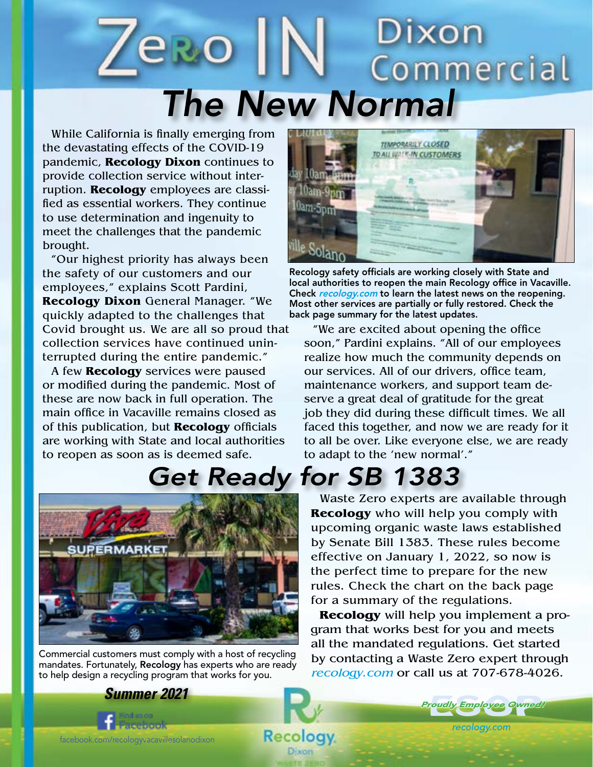### Dixon **ero** Commercial *The New Normal*

While California is finally emerging from the devastating effects of the COVID-19 pandemic, **Recology Dixon** continues to provide collection service without interruption. **Recology** employees are classified as essential workers. They continue to use determination and ingenuity to meet the challenges that the pandemic brought.

"Our highest priority has always been the safety of our customers and our employees," explains Scott Pardini, **Recology Dixon** General Manager. "We quickly adapted to the challenges that Covid brought us. We are all so proud that collection services have continued uninterrupted during the entire pandemic."

A few **Recology** services were paused or modified during the pandemic. Most of these are now back in full operation. The main office in Vacaville remains closed as of this publication, but **Recology** officials are working with State and local authorities to reopen as soon as is deemed safe.



Recology safety officials are working closely with State and local authorities to reopen the main Recology office in Vacaville. Check recology.com to learn the latest news on the reopening. Most other services are partially or fully restored. Check the back page summary for the latest updates.

"We are excited about opening the office soon," Pardini explains. "All of our employees realize how much the community depends on our services. All of our drivers, office team, maintenance workers, and support team deserve a great deal of gratitude for the great job they did during these difficult times. We all faced this together, and now we are ready for it to all be over. Like everyone else, we are ready to adapt to the 'new normal'."

## *Get Ready for SB 1383*



Commercial customers must comply with a host of recycling mandates. Fortunately, Recology has experts who are ready to help design a recycling program that works for you.

*Summer 2021*

**CHARLED** 

Waste Zero experts are available through **Recology** who will help you comply with upcoming organic waste laws established by Senate Bill 1383. These rules become effective on January 1, 2022, so now is the perfect time to prepare for the new rules. Check the chart on the back page for a summary of the regulations.

**Recology** will help you implement a program that works best for you and meets all the mandated regulations. Get started by contacting a Waste Zero expert through recology.com or call us at 707-678-4026.